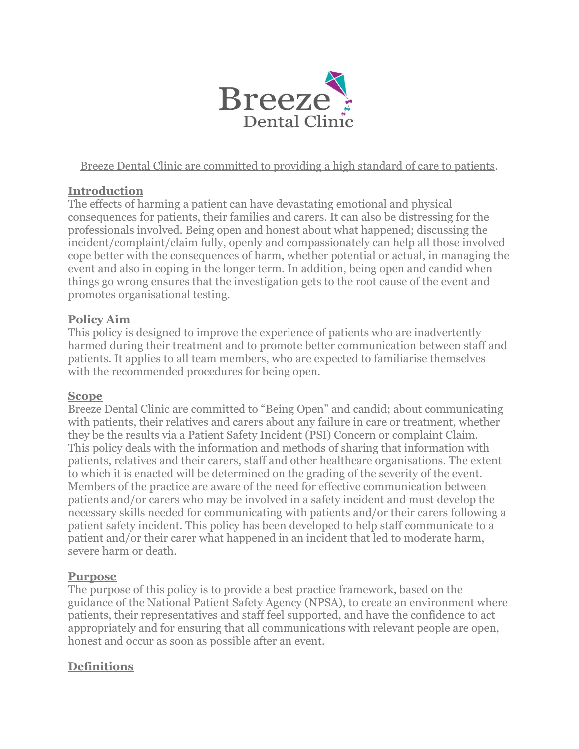

### Breeze Dental Clinic are committed to providing a high standard of care to patients.

### **Introduction**

The effects of harming a patient can have devastating emotional and physical consequences for patients, their families and carers. It can also be distressing for the professionals involved. Being open and honest about what happened; discussing the incident/complaint/claim fully, openly and compassionately can help all those involved cope better with the consequences of harm, whether potential or actual, in managing the event and also in coping in the longer term. In addition, being open and candid when things go wrong ensures that the investigation gets to the root cause of the event and promotes organisational testing.

### **Policy Aim**

This policy is designed to improve the experience of patients who are inadvertently harmed during their treatment and to promote better communication between staff and patients. It applies to all team members, who are expected to familiarise themselves with the recommended procedures for being open.

#### **Scope**

Breeze Dental Clinic are committed to "Being Open" and candid; about communicating with patients, their relatives and carers about any failure in care or treatment, whether they be the results via a Patient Safety Incident (PSI) Concern or complaint Claim. This policy deals with the information and methods of sharing that information with patients, relatives and their carers, staff and other healthcare organisations. The extent to which it is enacted will be determined on the grading of the severity of the event. Members of the practice are aware of the need for effective communication between patients and/or carers who may be involved in a safety incident and must develop the necessary skills needed for communicating with patients and/or their carers following a patient safety incident. This policy has been developed to help staff communicate to a patient and/or their carer what happened in an incident that led to moderate harm, severe harm or death.

## **Purpose**

The purpose of this policy is to provide a best practice framework, based on the guidance of the National Patient Safety Agency (NPSA), to create an environment where patients, their representatives and staff feel supported, and have the confidence to act appropriately and for ensuring that all communications with relevant people are open, honest and occur as soon as possible after an event.

## **Definitions**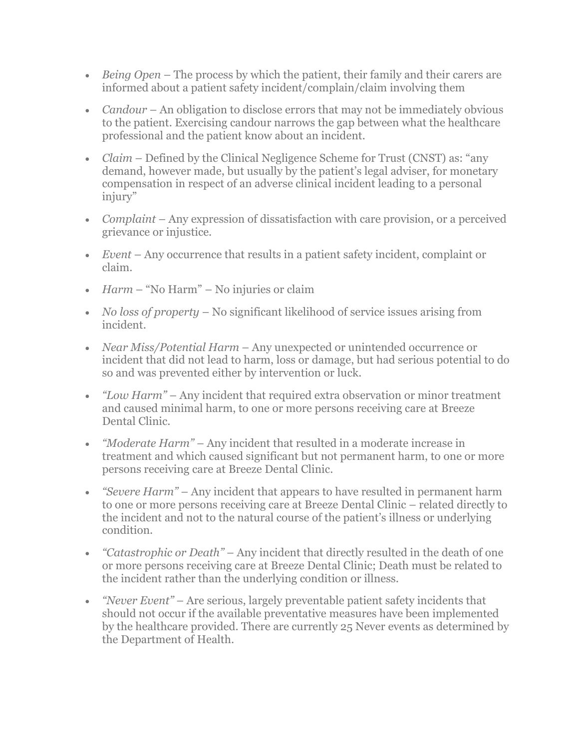- *Being Open* The process by which the patient, their family and their carers are informed about a patient safety incident/complain/claim involving them
- *Candour* An obligation to disclose errors that may not be immediately obvious to the patient. Exercising candour narrows the gap between what the healthcare professional and the patient know about an incident.
- *Claim* Defined by the Clinical Negligence Scheme for Trust (CNST) as: "any demand, however made, but usually by the patient's legal adviser, for monetary compensation in respect of an adverse clinical incident leading to a personal injury"
- *Complaint* Any expression of dissatisfaction with care provision, or a perceived grievance or injustice.
- *Event* Any occurrence that results in a patient safety incident, complaint or claim.
- *Harm* "No Harm" No injuries or claim
- *No loss of property* No significant likelihood of service issues arising from incident.
- *Near Miss/Potential Harm* Any unexpected or unintended occurrence or incident that did not lead to harm, loss or damage, but had serious potential to do so and was prevented either by intervention or luck.
- *"Low Harm"* Any incident that required extra observation or minor treatment and caused minimal harm, to one or more persons receiving care at Breeze Dental Clinic.
- *"Moderate Harm"* Any incident that resulted in a moderate increase in treatment and which caused significant but not permanent harm, to one or more persons receiving care at Breeze Dental Clinic.
- *"Severe Harm"* Any incident that appears to have resulted in permanent harm to one or more persons receiving care at Breeze Dental Clinic – related directly to the incident and not to the natural course of the patient's illness or underlying condition.
- *"Catastrophic or Death"* Any incident that directly resulted in the death of one or more persons receiving care at Breeze Dental Clinic; Death must be related to the incident rather than the underlying condition or illness.
- *"Never Event"* Are serious, largely preventable patient safety incidents that should not occur if the available preventative measures have been implemented by the healthcare provided. There are currently 25 Never events as determined by the Department of Health.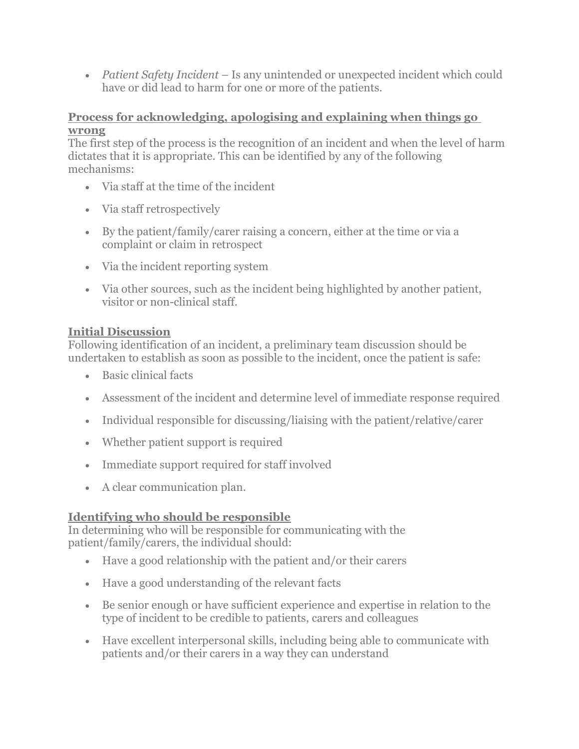• *Patient Safety Incident* – Is any unintended or unexpected incident which could have or did lead to harm for one or more of the patients.

## **Process for acknowledging, apologising and explaining when things go wrong**

The first step of the process is the recognition of an incident and when the level of harm dictates that it is appropriate. This can be identified by any of the following mechanisms:

- Via staff at the time of the incident
- Via staff retrospectively
- By the patient/family/carer raising a concern, either at the time or via a complaint or claim in retrospect
- Via the incident reporting system
- Via other sources, such as the incident being highlighted by another patient, visitor or non-clinical staff.

## **Initial Discussion**

Following identification of an incident, a preliminary team discussion should be undertaken to establish as soon as possible to the incident, once the patient is safe:

- Basic clinical facts
- Assessment of the incident and determine level of immediate response required
- Individual responsible for discussing/liaising with the patient/relative/carer
- Whether patient support is required
- Immediate support required for staff involved
- A clear communication plan.

# **Identifying who should be responsible**

In determining who will be responsible for communicating with the patient/family/carers, the individual should:

- Have a good relationship with the patient and/or their carers
- Have a good understanding of the relevant facts
- Be senior enough or have sufficient experience and expertise in relation to the type of incident to be credible to patients, carers and colleagues
- Have excellent interpersonal skills, including being able to communicate with patients and/or their carers in a way they can understand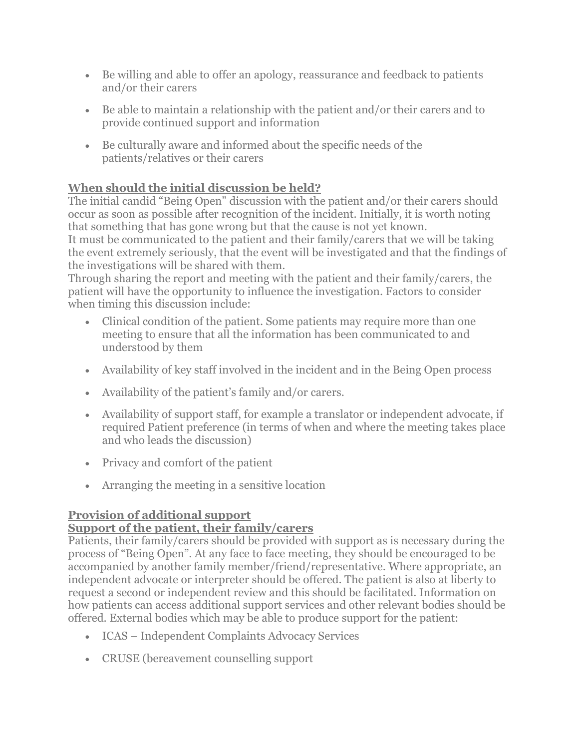- Be willing and able to offer an apology, reassurance and feedback to patients and/or their carers
- Be able to maintain a relationship with the patient and/or their carers and to provide continued support and information
- Be culturally aware and informed about the specific needs of the patients/relatives or their carers

# **When should the initial discussion be held?**

The initial candid "Being Open" discussion with the patient and/or their carers should occur as soon as possible after recognition of the incident. Initially, it is worth noting that something that has gone wrong but that the cause is not yet known. It must be communicated to the patient and their family/carers that we will be taking the event extremely seriously, that the event will be investigated and that the findings of

the investigations will be shared with them. Through sharing the report and meeting with the patient and their family/carers, the patient will have the opportunity to influence the investigation. Factors to consider

- when timing this discussion include: • Clinical condition of the patient. Some patients may require more than one
	- meeting to ensure that all the information has been communicated to and understood by them
	- Availability of key staff involved in the incident and in the Being Open process
	- Availability of the patient's family and/or carers.
	- Availability of support staff, for example a translator or independent advocate, if required Patient preference (in terms of when and where the meeting takes place and who leads the discussion)
	- Privacy and comfort of the patient
	- Arranging the meeting in a sensitive location

# **Provision of additional support**

# **Support of the patient, their family/carers**

Patients, their family/carers should be provided with support as is necessary during the process of "Being Open". At any face to face meeting, they should be encouraged to be accompanied by another family member/friend/representative. Where appropriate, an independent advocate or interpreter should be offered. The patient is also at liberty to request a second or independent review and this should be facilitated. Information on how patients can access additional support services and other relevant bodies should be offered. External bodies which may be able to produce support for the patient:

- ICAS Independent Complaints Advocacy Services
- CRUSE (bereavement counselling support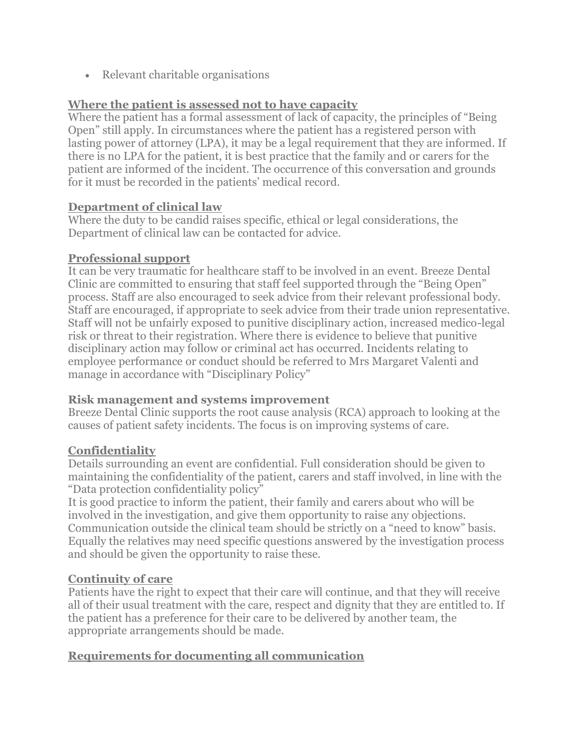• Relevant charitable organisations

## **Where the patient is assessed not to have capacity**

Where the patient has a formal assessment of lack of capacity, the principles of "Being Open" still apply. In circumstances where the patient has a registered person with lasting power of attorney (LPA), it may be a legal requirement that they are informed. If there is no LPA for the patient, it is best practice that the family and or carers for the patient are informed of the incident. The occurrence of this conversation and grounds for it must be recorded in the patients' medical record.

## **Department of clinical law**

Where the duty to be candid raises specific, ethical or legal considerations, the Department of clinical law can be contacted for advice.

## **Professional support**

It can be very traumatic for healthcare staff to be involved in an event. Breeze Dental Clinic are committed to ensuring that staff feel supported through the "Being Open" process. Staff are also encouraged to seek advice from their relevant professional body. Staff are encouraged, if appropriate to seek advice from their trade union representative. Staff will not be unfairly exposed to punitive disciplinary action, increased medico-legal risk or threat to their registration. Where there is evidence to believe that punitive disciplinary action may follow or criminal act has occurred. Incidents relating to employee performance or conduct should be referred to Mrs Margaret Valenti and manage in accordance with "Disciplinary Policy"

# **Risk management and systems improvement**

Breeze Dental Clinic supports the root cause analysis (RCA) approach to looking at the causes of patient safety incidents. The focus is on improving systems of care.

# **Confidentiality**

Details surrounding an event are confidential. Full consideration should be given to maintaining the confidentiality of the patient, carers and staff involved, in line with the "Data protection confidentiality policy"

It is good practice to inform the patient, their family and carers about who will be involved in the investigation, and give them opportunity to raise any objections. Communication outside the clinical team should be strictly on a "need to know" basis. Equally the relatives may need specific questions answered by the investigation process and should be given the opportunity to raise these.

# **Continuity of care**

Patients have the right to expect that their care will continue, and that they will receive all of their usual treatment with the care, respect and dignity that they are entitled to. If the patient has a preference for their care to be delivered by another team, the appropriate arrangements should be made.

# **Requirements for documenting all communication**